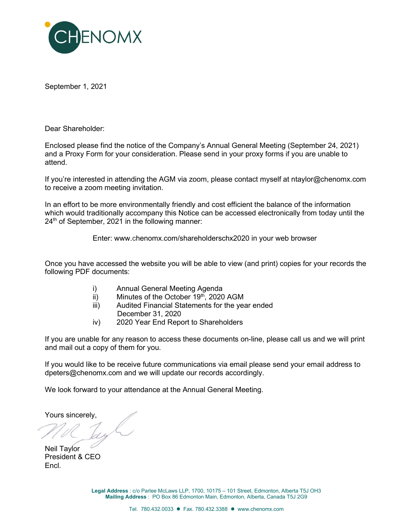

September 1, 2021

Dear Shareholder:

Enclosed please find the notice of the Company's Annual General Meeting (September 24, 2021) and a Proxy Form for your consideration. Please send in your proxy forms if you are unable to attend.

If you're interested in attending the AGM via zoom, please contact myself at ntaylor@chenomx.com to receive a zoom meeting invitation.

In an effort to be more environmentally friendly and cost efficient the balance of the information which would traditionally accompany this Notice can be accessed electronically from today until the  $24<sup>th</sup>$  of September, 2021 in the following manner:

Enter: www.chenomx.com/shareholderschx2020 in your web browser

Once you have accessed the website you will be able to view (and print) copies for your records the following PDF documents:

- i) Annual General Meeting Agenda
- $\overline{ii}$  Minutes of the October 19<sup>th</sup>, 2020 AGM
- iii) Audited Financial Statements for the year ended
	- December 31, 2020
- iv) 2020 Year End Report to Shareholders

If you are unable for any reason to access these documents on-line, please call us and we will print and mail out a copy of them for you.

If you would like to be receive future communications via email please send your email address to dpeters@chenomx.com and we will update our records accordingly.

We look forward to your attendance at the Annual General Meeting.

Yours sincerely,

Neil Taylor President & CEO Encl.

Legal Address : c/o Parlee McLaws LLP, 1700, 10175 – 101 Street, Edmonton, Alberta T5J OH3 Mailing Address : PO Box 86 Edmonton Main, Edmonton, Alberta, Canada T5J 2G9